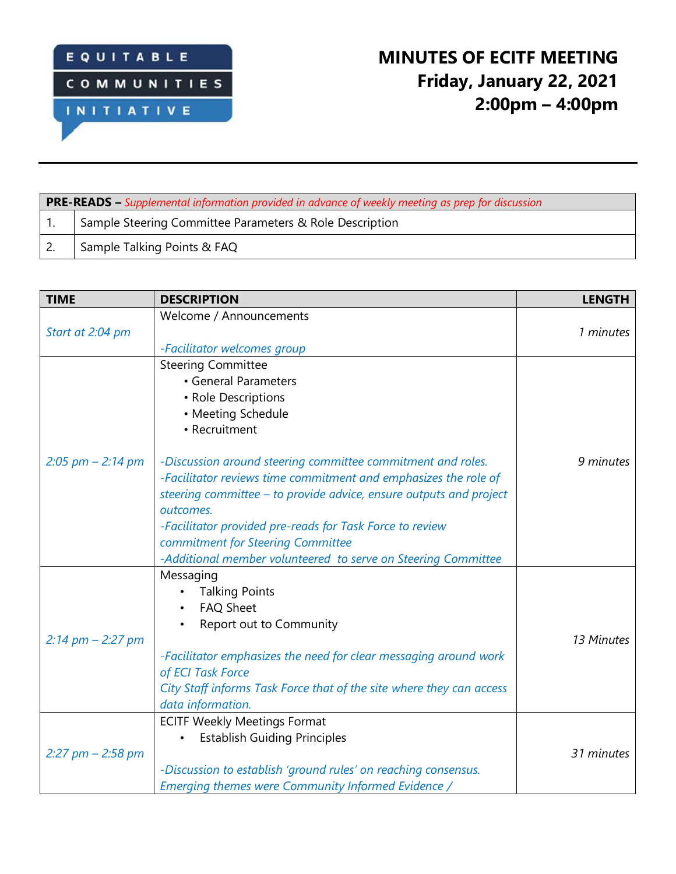

## **MINUTES OF ECITF MEETING Friday, January 22, 2021 2:00pm – 4:00pm**

| <b>PRE-READS</b> – Supplemental information provided in advance of weekly meeting as prep for discussion |                                                         |  |  |  |
|----------------------------------------------------------------------------------------------------------|---------------------------------------------------------|--|--|--|
|                                                                                                          | Sample Steering Committee Parameters & Role Description |  |  |  |
|                                                                                                          | Sample Talking Points & FAQ                             |  |  |  |

| <b>TIME</b>           | <b>DESCRIPTION</b>                                                                                                                                                                                                                                                                                                                                                                  | <b>LENGTH</b> |
|-----------------------|-------------------------------------------------------------------------------------------------------------------------------------------------------------------------------------------------------------------------------------------------------------------------------------------------------------------------------------------------------------------------------------|---------------|
|                       | Welcome / Announcements                                                                                                                                                                                                                                                                                                                                                             |               |
| Start at 2:04 pm      |                                                                                                                                                                                                                                                                                                                                                                                     | 1 minutes     |
|                       | -Facilitator welcomes group                                                                                                                                                                                                                                                                                                                                                         |               |
|                       | <b>Steering Committee</b>                                                                                                                                                                                                                                                                                                                                                           |               |
|                       | • General Parameters                                                                                                                                                                                                                                                                                                                                                                |               |
|                       | • Role Descriptions                                                                                                                                                                                                                                                                                                                                                                 |               |
|                       | • Meeting Schedule                                                                                                                                                                                                                                                                                                                                                                  |               |
|                       | • Recruitment                                                                                                                                                                                                                                                                                                                                                                       |               |
| $2:05$ pm $- 2:14$ pm | -Discussion around steering committee commitment and roles.<br>-Facilitator reviews time commitment and emphasizes the role of<br>steering committee - to provide advice, ensure outputs and project<br>outcomes.<br>-Facilitator provided pre-reads for Task Force to review<br>commitment for Steering Committee<br>-Additional member volunteered to serve on Steering Committee | 9 minutes     |
| $2:14$ pm $- 2:27$ pm | Messaging<br><b>Talking Points</b><br><b>FAQ Sheet</b><br>Report out to Community<br>-Facilitator emphasizes the need for clear messaging around work<br>of ECI Task Force<br>City Staff informs Task Force that of the site where they can access<br>data information.                                                                                                             | 13 Minutes    |
| $2:27$ pm $- 2:58$ pm | <b>ECITF Weekly Meetings Format</b><br><b>Establish Guiding Principles</b><br>-Discussion to establish 'ground rules' on reaching consensus.<br>Emerging themes were Community Informed Evidence /                                                                                                                                                                                  | 31 minutes    |